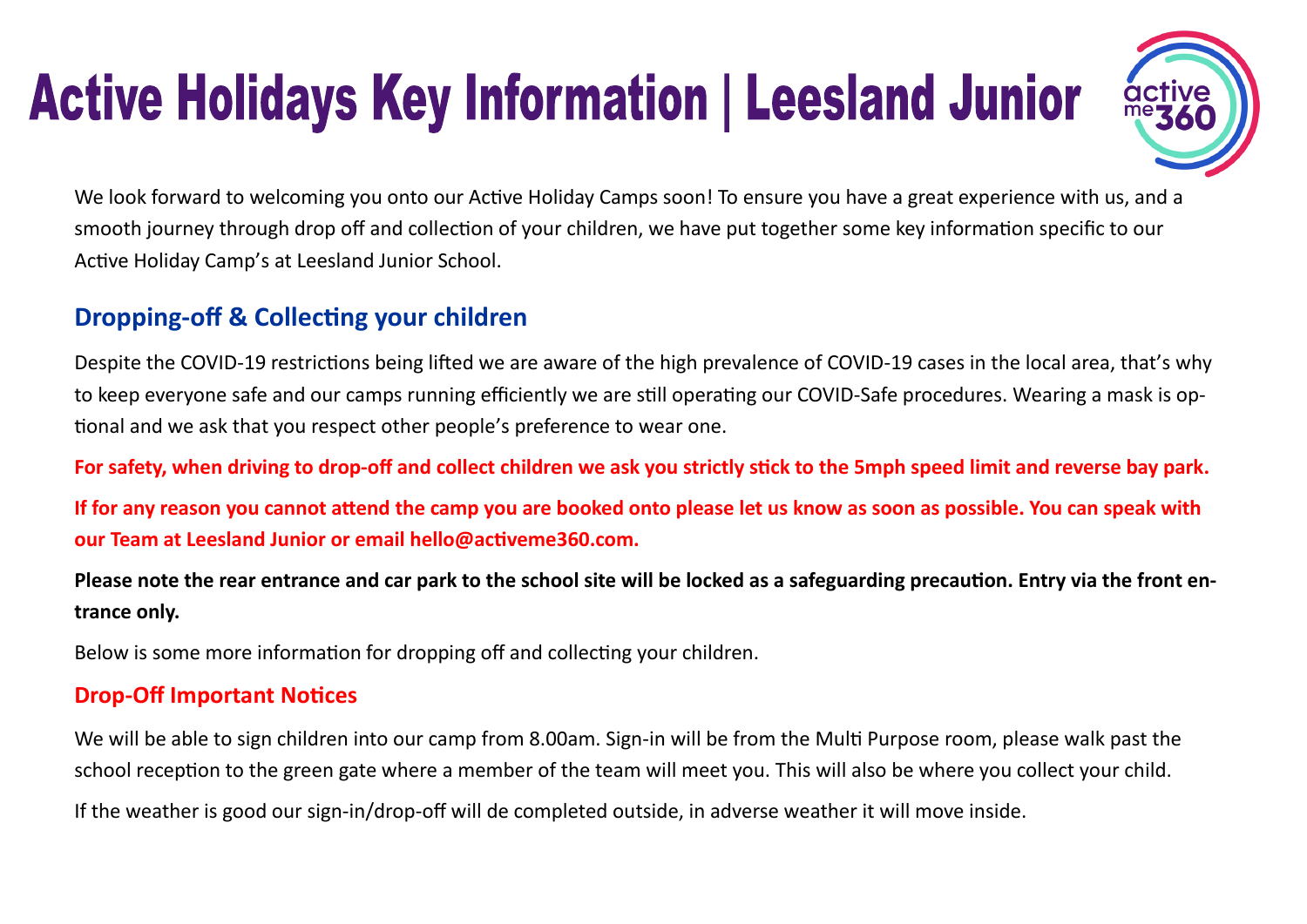# **Active Holidays Key Information | Leesland Junior**



We look forward to welcoming you onto our Active Holiday Camps soon! To ensure you have a great experience with us, and a smooth journey through drop off and collection of your children, we have put together some key information specific to our Active Holiday Camp's at Leesland Junior School.

## **Dropping-off & Collecting your children**

Despite the COVID-19 restrictions being lifted we are aware of the high prevalence of COVID-19 cases in the local area, that's why to keep everyone safe and our camps running efficiently we are still operating our COVID-Safe procedures. Wearing a mask is optional and we ask that you respect other people's preference to wear one.

**For safety, when driving to drop-off and collect children we ask you strictly stick to the 5mph speed limit and reverse bay park.**

**If for any reason you cannot attend the camp you are booked onto please let us know as soon as possible. You can speak with our Team at Leesland Junior or email hello@activeme360.com.**

**Please note the rear entrance and car park to the school site will be locked as a safeguarding precaution. Entry via the front entrance only.**

Below is some more information for dropping off and collecting your children.

#### **Drop-Off Important Notices**

We will be able to sign children into our camp from 8.00am. Sign-in will be from the Multi Purpose room, please walk past the school reception to the green gate where a member of the team will meet you. This will also be where you collect your child.

If the weather is good our sign-in/drop-off will de completed outside, in adverse weather it will move inside.